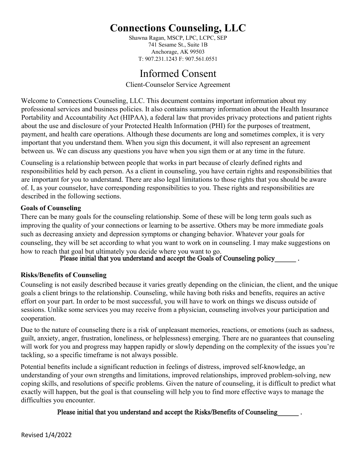Shawna Ragan, MSCP, LPC, LCPC, SEP 741 Sesame St., Suite 1B Anchorage, AK 99503 T: 907.231.1243 F: 907.561.0551

## Informed Consent

Client-Counselor Service Agreement

Welcome to Connections Counseling, LLC. This document contains important information about my professional services and business policies. It also contains summary information about the Health Insurance Portability and Accountability Act (HIPAA), a federal law that provides privacy protections and patient rights about the use and disclosure of your Protected Health Information (PHI) for the purposes of treatment, payment, and health care operations. Although these documents are long and sometimes complex, it is very important that you understand them. When you sign this document, it will also represent an agreement between us. We can discuss any questions you have when you sign them or at any time in the future.

Counseling is a relationship between people that works in part because of clearly defined rights and responsibilities held by each person. As a client in counseling, you have certain rights and responsibilities that are important for you to understand. There are also legal limitations to those rights that you should be aware of. I, as your counselor, have corresponding responsibilities to you. These rights and responsibilities are described in the following sections.

## **Goals of Counseling**

There can be many goals for the counseling relationship. Some of these will be long term goals such as improving the quality of your connections or learning to be assertive. Others may be more immediate goals such as decreasing anxiety and depression symptoms or changing behavior. Whatever your goals for counseling, they will be set according to what you want to work on in counseling. I may make suggestions on how to reach that goal but ultimately you decide where you want to go.<br>Please initial that you understand and accept the Goals of Counseling policy

## **Risks/Benefits of Counseling**

Counseling is not easily described because it varies greatly depending on the clinician, the client, and the unique goals a client brings to the relationship. Counseling, while having both risks and benefits, requires an active effort on your part. In order to be most successful, you will have to work on things we discuss outside of sessions. Unlike some services you may receive from a physician, counseling involves your participation and cooperation.

Due to the nature of counseling there is a risk of unpleasant memories, reactions, or emotions (such as sadness, guilt, anxiety, anger, frustration, loneliness, or helplessness) emerging. There are no guarantees that counseling will work for you and progress may happen rapidly or slowly depending on the complexity of the issues you're tackling, so a specific timeframe is not always possible.

Potential benefits include a significant reduction in feelings of distress, improved self-knowledge, an understanding of your own strengths and limitations, improved relationships, improved problem-solving, new coping skills, and resolutions of specific problems. Given the nature of counseling, it is difficult to predict what exactly will happen, but the goal is that counseling will help you to find more effective ways to manage the difficulties you encounter.

## Please initial that you understand and accept the Risks/Benefits of Counseling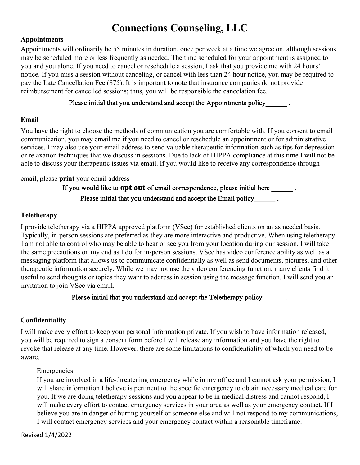#### **Appointments**

Appointments will ordinarily be 55 minutes in duration, once per week at a time we agree on, although sessions may be scheduled more or less frequently as needed. The time scheduled for your appointment is assigned to you and you alone. If you need to cancel or reschedule a session, I ask that you provide me with 24 hours' notice. If you miss a session without canceling, or cancel with less than 24 hour notice, you may be required to pay the Late Cancellation Fee (\$75). It is important to note that insurance companies do not provide reimbursement for cancelled sessions; thus, you will be responsible the cancelation fee.

### Please initial that you understand and accept the Appointments policy .

### **Email**

You have the right to choose the methods of communication you are comfortable with. If you consent to email communication, you may email me if you need to cancel or reschedule an appointment or for administrative services. I may also use your email address to send valuable therapeutic information such as tips for depression or relaxation techniques that we discuss in sessions. Due to lack of HIPPA compliance at this time I will not be able to discuss your therapeutic issues via email. If you would like to receive any correspondence through

#### email, please **print** your email address

If you would like to **opt out** of email correspondence, please initial here . Please initial that you understand and accept the Email policy .

### **Teletherapy**

I provide teletherapy via a HIPPA approved platform (VSee) for established clients on an as needed basis. Typically, in-person sessions are preferred as they are more interactive and productive. When using teletherapy I am not able to control who may be able to hear or see you from your location during our session. I will take the same precautions on my end as I do for in-person sessions. VSee has video conference ability as well as a messaging platform that allows us to communicate confidentially as well as send documents, pictures, and other therapeutic information securely. While we may not use the video conferencing function, many clients find it useful to send thoughts or topics they want to address in session using the message function. I will send you an invitation to join VSee via email.

### Please initial that you understand and accept the Teletherapy policy .

### **Confidentiality**

I will make every effort to keep your personal information private. If you wish to have information released, you will be required to sign a consent form before I will release any information and you have the right to revoke that release at any time. However, there are some limitations to confidentiality of which you need to be aware.

### **Emergencies**

If you are involved in a life-threatening emergency while in my office and I cannot ask your permission, I will share information I believe is pertinent to the specific emergency to obtain necessary medical care for you. If we are doing teletherapy sessions and you appear to be in medical distress and cannot respond, I will make every effort to contact emergency services in your area as well as your emergency contact. If I believe you are in danger of hurting yourself or someone else and will not respond to my communications, I will contact emergency services and your emergency contact within a reasonable timeframe.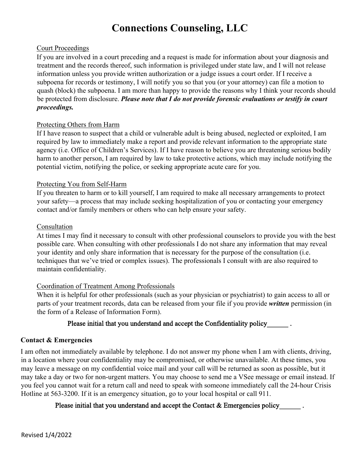### Court Proceedings

If you are involved in a court preceding and a request is made for information about your diagnosis and treatment and the records thereof, such information is privileged under state law, and I will not release information unless you provide written authorization or a judge issues a court order. If I receive a subpoena for records or testimony, I will notify you so that you (or your attorney) can file a motion to quash (block) the subpoena. I am more than happy to provide the reasons why I think your records should be protected from disclosure. *Please note that I do not provide forensic evaluations or testify in court proceedings.* 

## Protecting Others from Harm

If I have reason to suspect that a child or vulnerable adult is being abused, neglected or exploited, I am required by law to immediately make a report and provide relevant information to the appropriate state agency (i.e. Office of Children's Services). If I have reason to believe you are threatening serious bodily harm to another person, I am required by law to take protective actions, which may include notifying the potential victim, notifying the police, or seeking appropriate acute care for you.

## Protecting You from Self-Harm

If you threaten to harm or to kill yourself, I am required to make all necessary arrangements to protect your safety—a process that may include seeking hospitalization of you or contacting your emergency contact and/or family members or others who can help ensure your safety.

### Consultation

At times I may find it necessary to consult with other professional counselors to provide you with the best possible care. When consulting with other professionals I do not share any information that may reveal your identity and only share information that is necessary for the purpose of the consultation (i.e. techniques that we've tried or complex issues). The professionals I consult with are also required to maintain confidentiality.

## Coordination of Treatment Among Professionals

When it is helpful for other professionals (such as your physician or psychiatrist) to gain access to all or parts of your treatment records, data can be released from your file if you provide *written* permission (in the form of a Release of Information Form).

## Please initial that you understand and accept the Confidentiality policy .

## **Contact & Emergencies**

I am often not immediately available by telephone. I do not answer my phone when I am with clients, driving, in a location where your confidentiality may be compromised, or otherwise unavailable. At these times, you may leave a message on my confidential voice mail and your call will be returned as soon as possible, but it may take a day or two for non-urgent matters. You may choose to send me a VSee message or email instead. If you feel you cannot wait for a return call and need to speak with someone immediately call the 24-hour Crisis Hotline at 563-3200. If it is an emergency situation, go to your local hospital or call 911.

## Please initial that you understand and accept the Contact & Emergencies policy .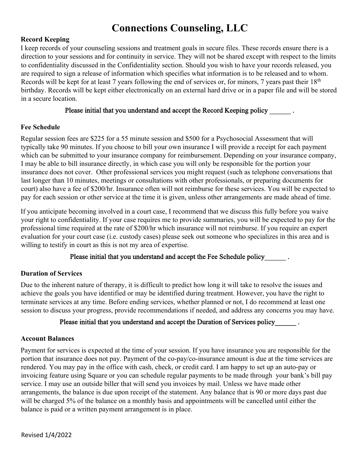## **Record Keeping**

I keep records of your counseling sessions and treatment goals in secure files. These records ensure there is a direction to your sessions and for continuity in service. They will not be shared except with respect to the limits to confidentiality discussed in the Confidentiality section. Should you wish to have your records released, you are required to sign a release of information which specifies what information is to be released and to whom. Records will be kept for at least 7 years following the end of services or, for minors, 7 years past their 18<sup>th</sup> birthday. Records will be kept either electronically on an external hard drive or in a paper file and will be stored in a secure location.

### Please initial that you understand and accept the Record Keeping policy .

## **Fee Schedule**

Regular session fees are \$225 for a 55 minute session and \$500 for a Psychosocial Assessment that will typically take 90 minutes. If you choose to bill your own insurance I will provide a receipt for each payment which can be submitted to your insurance company for reimbursement. Depending on your insurance company, I may be able to bill insurance directly, in which case you will only be responsible for the portion your insurance does not cover. Other professional services you might request (such as telephone conversations that last longer than 10 minutes, meetings or consultations with other professionals, or preparing documents for court) also have a fee of \$200/hr. Insurance often will not reimburse for these services. You will be expected to pay for each session or other service at the time it is given, unless other arrangements are made ahead of time.

If you anticipate becoming involved in a court case, I recommend that we discuss this fully before you waive your right to confidentiality. If your case requires me to provide summaries, you will be expected to pay for the professional time required at the rate of \$200/hr which insurance will not reimburse. If you require an expert evaluation for your court case (i.e. custody cases) please seek out someone who specializes in this area and is willing to testify in court as this is not my area of expertise.

Please initial that you understand and accept the Fee Schedule policy\_\_\_\_\_\_\_.

## **Duration of Services**

Due to the inherent nature of therapy, it is difficult to predict how long it will take to resolve the issues and achieve the goals you have identified or may be identified during treatment. However, you have the right to terminate services at any time. Before ending services, whether planned or not, I do recommend at least one session to discuss your progress, provide recommendations if needed, and address any concerns you may have.

### Please initial that you understand and accept the Duration of Services policy\_\_\_\_\_\_\_.

### **Account Balances**

Payment for services is expected at the time of your session. If you have insurance you are responsible for the portion that insurance does not pay. Payment of the co-pay/co-insurance amount is due at the time services are rendered. You may pay in the office with cash, check, or credit card. I am happy to set up an auto-pay or invoicing feature using Square or you can schedule regular payments to be made through your bank's bill pay service. I may use an outside biller that will send you invoices by mail. Unless we have made other arrangements, the balance is due upon receipt of the statement. Any balance that is 90 or more days past due will be charged 5% of the balance on a monthly basis and appointments will be cancelled until either the balance is paid or a written payment arrangement is in place.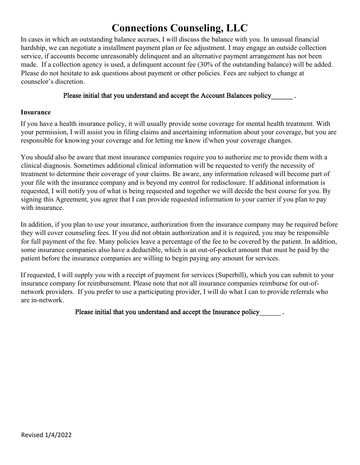In cases in which an outstanding balance accrues, I will discuss the balance with you. In unusual financial hardship, we can negotiate a installment payment plan or fee adjustment. I may engage an outside collection service, if accounts become unreasonably delinquent and an alternative payment arrangement has not been made. If a collection agency is used, a delinquent account fee (30% of the outstanding balance) will be added. Please do not hesitate to ask questions about payment or other policies. Fees are subject to change at counselor's discretion.

#### Please initial that you understand and accept the Account Balances policy .

#### **Insurance**

If you have a health insurance policy, it will usually provide some coverage for mental health treatment. With your permission, I will assist you in filing claims and ascertaining information about your coverage, but you are responsible for knowing your coverage and for letting me know if/when your coverage changes.

You should also be aware that most insurance companies require you to authorize me to provide them with a clinical diagnosis. Sometimes additional clinical information will be requested to verify the necessity of treatment to determine their coverage of your claims. Be aware, any information released will become part of your file with the insurance company and is beyond my control for redisclosure. If additional information is requested, I will notify you of what is being requested and together we will decide the best course for you. By signing this Agreement, you agree that I can provide requested information to your carrier if you plan to pay with insurance.

In addition, if you plan to use your insurance, authorization from the insurance company may be required before they will cover counseling fees. If you did not obtain authorization and it is required, you may be responsible for full payment of the fee. Many policies leave a percentage of the fee to be covered by the patient. In addition, some insurance companies also have a deductible, which is an out-of-pocket amount that must be paid by the patient before the insurance companies are willing to begin paying any amount for services.

If requested, I will supply you with a receipt of payment for services (Superbill), which you can submit to your insurance company for reimbursement. Please note that not all insurance companies reimburse for out-ofnetwork providers. If you prefer to use a participating provider, I will do what I can to provide referrals who are in-network.

### Please initial that you understand and accept the Insurance policy \_\_\_\_\_\_\_.